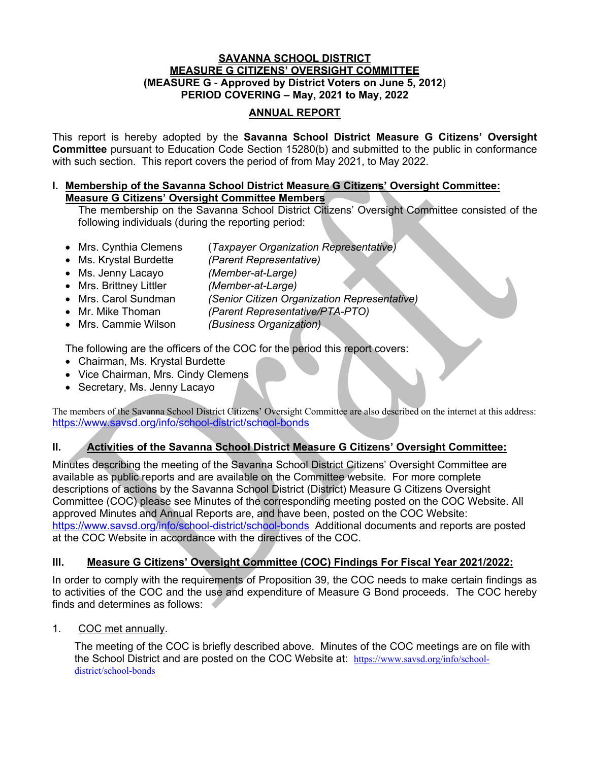### **SAVANNA SCHOOL DISTRICT MEASURE G CITIZENS' OVERSIGHT COMMITTEE (MEASURE G** - **Approved by District Voters on June 5, 2012**) **PERIOD COVERING – May, 2021 to May, 2022**

## **ANNUAL REPORT**

This report is hereby adopted by the **Savanna School District Measure G Citizens' Oversight Committee** pursuant to Education Code Section 15280(b) and submitted to the public in conformance with such section. This report covers the period of from May 2021, to May 2022.

### **I. Membership of the Savanna School District Measure G Citizens' Oversight Committee: Measure G Citizens' Oversight Committee Members**

The membership on the Savanna School District Citizens' Oversight Committee consisted of the following individuals (during the reporting period:

- Mrs. Cynthia Clemens (*Taxpayer Organization Representative)*
- Ms. Krystal Burdette *(Parent Representative)*
- Ms. Jenny Lacayo *(Member-at-Large)*
- Mrs. Brittney Littler *(Member-at-Large)*
- Mrs. Carol Sundman *(Senior Citizen Organization Representative)*
- Mr. Mike Thoman *(Parent Representative/PTA-PTO)*
- Mrs. Cammie Wilson *(Business Organization)*

The following are the officers of the COC for the period this report covers:

- Chairman, Ms. Krystal Burdette
- Vice Chairman, Mrs. Cindy Clemens
- Secretary, Ms. Jenny Lacayo

The members of the Savanna School District Citizens' Oversight Committee are also described on the internet at this address: https://www.savsd.org/info/school-district/school-bonds

# **II. Activities of the Savanna School District Measure G Citizens' Oversight Committee:**

Minutes describing the meeting of the Savanna School District Citizens' Oversight Committee are available as public reports and are available on the Committee website. For more complete descriptions of actions by the Savanna School District (District) Measure G Citizens Oversight Committee (COC) please see Minutes of the corresponding meeting posted on the COC Website. All approved Minutes and Annual Reports are, and have been, posted on the COC Website: https://www.savsd.org/info/school-district/school-bonds Additional documents and reports are posted at the COC Website in accordance with the directives of the COC.

## **III. Measure G Citizens' Oversight Committee (COC) Findings For Fiscal Year 2021/2022:**

In order to comply with the requirements of Proposition 39, the COC needs to make certain findings as to activities of the COC and the use and expenditure of Measure G Bond proceeds. The COC hereby finds and determines as follows:

1. COC met annually.

The meeting of the COC is briefly described above. Minutes of the COC meetings are on file with the School District and are posted on the COC Website at: https://www.savsd.org/info/schooldistrict/school-bonds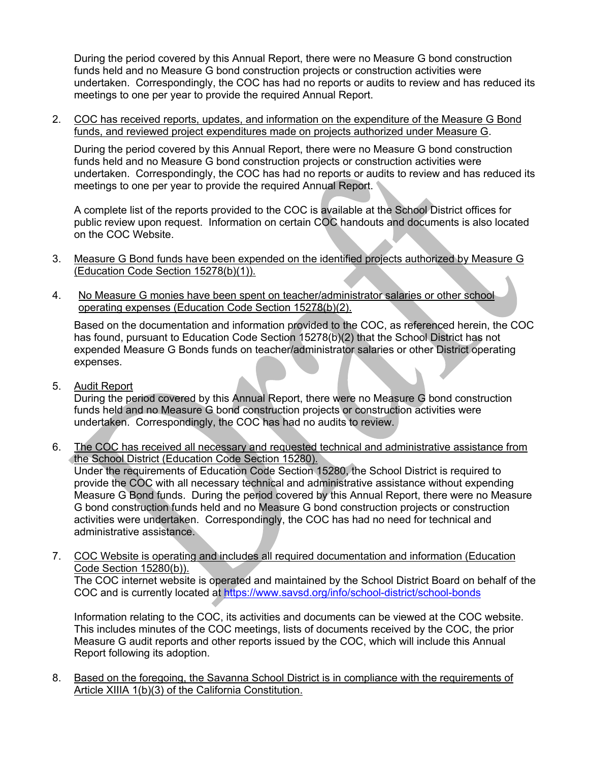During the period covered by this Annual Report, there were no Measure G bond construction funds held and no Measure G bond construction projects or construction activities were undertaken. Correspondingly, the COC has had no reports or audits to review and has reduced its meetings to one per year to provide the required Annual Report.

2. COC has received reports, updates, and information on the expenditure of the Measure G Bond funds, and reviewed project expenditures made on projects authorized under Measure G.

During the period covered by this Annual Report, there were no Measure G bond construction funds held and no Measure G bond construction projects or construction activities were undertaken. Correspondingly, the COC has had no reports or audits to review and has reduced its meetings to one per year to provide the required Annual Report.

A complete list of the reports provided to the COC is available at the School District offices for public review upon request. Information on certain COC handouts and documents is also located on the COC Website.

- 3. Measure G Bond funds have been expended on the identified projects authorized by Measure G (Education Code Section 15278(b)(1)).
- 4. No Measure G monies have been spent on teacher/administrator salaries or other school operating expenses (Education Code Section 15278(b)(2).

Based on the documentation and information provided to the COC, as referenced herein, the COC has found, pursuant to Education Code Section 15278(b)(2) that the School District has not expended Measure G Bonds funds on teacher/administrator salaries or other District operating expenses.

5. Audit Report

During the period covered by this Annual Report, there were no Measure G bond construction funds held and no Measure G bond construction projects or construction activities were undertaken. Correspondingly, the COC has had no audits to review.

6. The COC has received all necessary and requested technical and administrative assistance from the School District (Education Code Section 15280).

Under the requirements of Education Code Section 15280, the School District is required to provide the COC with all necessary technical and administrative assistance without expending Measure G Bond funds. During the period covered by this Annual Report, there were no Measure G bond construction funds held and no Measure G bond construction projects or construction activities were undertaken. Correspondingly, the COC has had no need for technical and administrative assistance.

7. COC Website is operating and includes all required documentation and information (Education Code Section 15280(b)).

The COC internet website is operated and maintained by the School District Board on behalf of the COC and is currently located at https://www.savsd.org/info/school-district/school-bonds

Information relating to the COC, its activities and documents can be viewed at the COC website. This includes minutes of the COC meetings, lists of documents received by the COC, the prior Measure G audit reports and other reports issued by the COC, which will include this Annual Report following its adoption.

8. Based on the foregoing, the Savanna School District is in compliance with the requirements of Article XIIIA 1(b)(3) of the California Constitution.